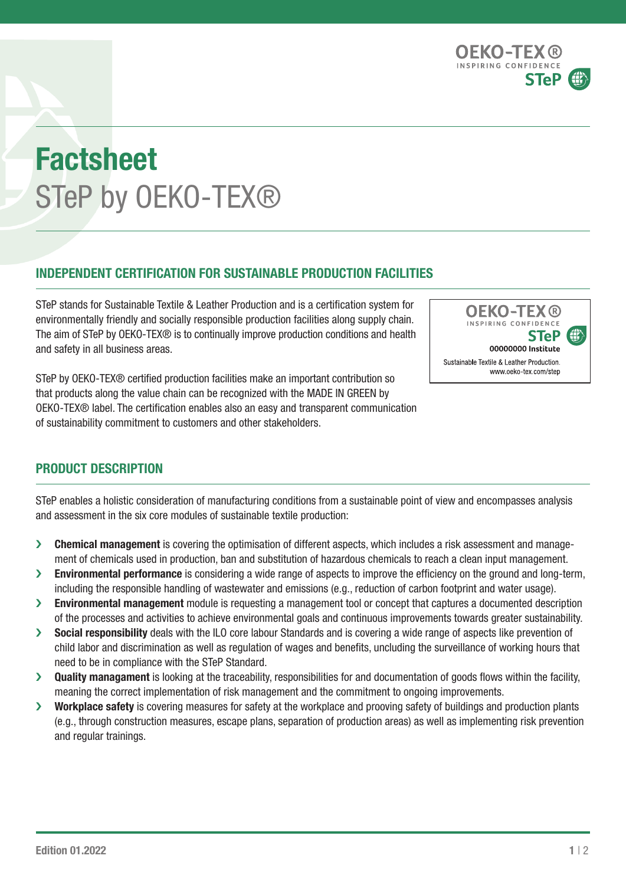OEKO-TEX ® INSPIRING CONFIDE **STeP** 

# Factsheet STeP by OEKO-TEX®

## INDEPENDENT CERTIFICATION FOR SUSTAINABLE PRODUCTION FACILITIES

STeP stands for Sustainable Textile & Leather Production and is a certification system for environmentally friendly and socially responsible production facilities along supply chain. The aim of STeP by OEKO-TEX® is to continually improve production conditions and health and safety in all business areas.

STeP by OEKO-TEX® certified production facilities make an important contribution so that products along the value chain can be recognized with the MADE IN GREEN by OEKO-TEX® label. The certification enables also an easy and transparent communication of sustainability commitment to customers and other stakeholders.



# PRODUCT DESCRIPTION

STeP enables a holistic consideration of manufacturing conditions from a sustainable point of view and encompasses analysis and assessment in the six core modules of sustainable textile production:

- › Chemical management is covering the optimisation of different aspects, which includes a risk assessment and management of chemicals used in production, ban and substitution of hazardous chemicals to reach a clean input management.
- Invironmental performance is considering a wide range of aspects to improve the efficiency on the ground and long-term, including the responsible handling of wastewater and emissions (e.g., reduction of carbon footprint and water usage).
- > Environmental management module is requesting a management tool or concept that captures a documented description of the processes and activities to achieve environmental goals and continuous improvements towards greater sustainability.
- > Social responsibility deals with the ILO core labour Standards and is covering a wide range of aspects like prevention of child labor and discrimination as well as regulation of wages and benefits, uncluding the surveillance of working hours that need to be in compliance with the STeP Standard.
- $\lambda$  Quality managament is looking at the traceability, responsibilities for and documentation of goods flows within the facility. meaning the correct implementation of risk management and the commitment to ongoing improvements.
- > Workplace safety is covering measures for safety at the workplace and prooving safety of buildings and production plants (e.g., through construction measures, escape plans, separation of production areas) as well as implementing risk prevention and regular trainings.